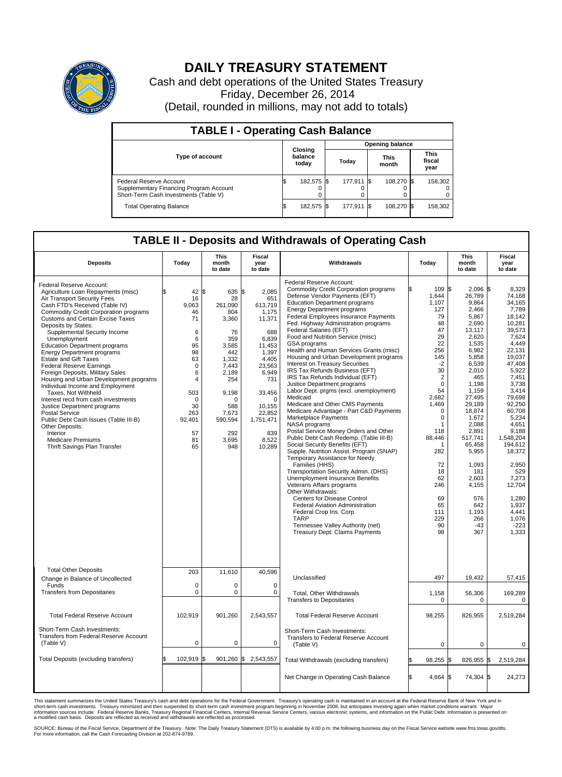

## **DAILY TREASURY STATEMENT**

Cash and debt operations of the United States Treasury Friday, December 26, 2014 (Detail, rounded in millions, may not add to totals)

| <b>TABLE I - Operating Cash Balance</b>                                                                     |                        |                             |  |            |  |                      |  |                               |  |  |  |  |
|-------------------------------------------------------------------------------------------------------------|------------------------|-----------------------------|--|------------|--|----------------------|--|-------------------------------|--|--|--|--|
|                                                                                                             | <b>Opening balance</b> |                             |  |            |  |                      |  |                               |  |  |  |  |
| <b>Type of account</b>                                                                                      |                        | Closing<br>balance<br>today |  | Today      |  | <b>This</b><br>month |  | <b>This</b><br>fiscal<br>year |  |  |  |  |
| Federal Reserve Account<br>Supplementary Financing Program Account<br>Short-Term Cash Investments (Table V) |                        | 182,575 \$                  |  | 177,911 \$ |  | 108.270 \$           |  | 158,302                       |  |  |  |  |
| <b>Total Operating Balance</b>                                                                              |                        | 182,575 \$                  |  | 177,911 \$ |  | 108,270 \$           |  | 158,302                       |  |  |  |  |

## **TABLE II - Deposits and Withdrawals of Operating Cash**

| <b>Deposits</b>                                                                                                                                                                                                                                                                                                                                                                                                                                                                                                                                                                                                                                                                                                                                                                                                        | Todav                                                                                                                                                           | <b>This</b><br>month<br>to date                                                                                                                                        | Fiscal<br>year<br>to date                                                                                                                                                                         | Withdrawals                                                                                                                                                                                                                                                                                                                                                                                                                                                                                                                                                                                                                                                                                                                                                                                                                                                                                                                                                                                                                                                                                                                                                                                                                                                                                                                     | Today                                                                                                                                                                                                                                                                              | <b>This</b><br>month<br>to date                                                                                                                                                                                                                                                                                          | Fiscal<br>year<br>to date                                                                                                                                                                                                                                                                                                                 |
|------------------------------------------------------------------------------------------------------------------------------------------------------------------------------------------------------------------------------------------------------------------------------------------------------------------------------------------------------------------------------------------------------------------------------------------------------------------------------------------------------------------------------------------------------------------------------------------------------------------------------------------------------------------------------------------------------------------------------------------------------------------------------------------------------------------------|-----------------------------------------------------------------------------------------------------------------------------------------------------------------|------------------------------------------------------------------------------------------------------------------------------------------------------------------------|---------------------------------------------------------------------------------------------------------------------------------------------------------------------------------------------------|---------------------------------------------------------------------------------------------------------------------------------------------------------------------------------------------------------------------------------------------------------------------------------------------------------------------------------------------------------------------------------------------------------------------------------------------------------------------------------------------------------------------------------------------------------------------------------------------------------------------------------------------------------------------------------------------------------------------------------------------------------------------------------------------------------------------------------------------------------------------------------------------------------------------------------------------------------------------------------------------------------------------------------------------------------------------------------------------------------------------------------------------------------------------------------------------------------------------------------------------------------------------------------------------------------------------------------|------------------------------------------------------------------------------------------------------------------------------------------------------------------------------------------------------------------------------------------------------------------------------------|--------------------------------------------------------------------------------------------------------------------------------------------------------------------------------------------------------------------------------------------------------------------------------------------------------------------------|-------------------------------------------------------------------------------------------------------------------------------------------------------------------------------------------------------------------------------------------------------------------------------------------------------------------------------------------|
| Federal Reserve Account:<br>Agriculture Loan Repayments (misc)<br>Air Transport Security Fees<br>Cash FTD's Received (Table IV)<br><b>Commodity Credit Corporation programs</b><br><b>Customs and Certain Excise Taxes</b><br>Deposits by States:<br>Supplemental Security Income<br>Unemployment<br><b>Education Department programs</b><br><b>Energy Department programs</b><br><b>Estate and Gift Taxes</b><br><b>Federal Reserve Earnings</b><br>Foreign Deposits, Military Sales<br>Housing and Urban Development programs<br>Individual Income and Employment<br>Taxes. Not Withheld<br>Interest recd from cash investments<br>Justice Department programs<br><b>Postal Service</b><br>Public Debt Cash Issues (Table III-B)<br>Other Deposits:<br>Interior<br>Medicare Premiums<br>Thrift Savings Plan Transfer | \$<br>$42 \,$ \$<br>16<br>9.063<br>46<br>71<br>6<br>6<br>95<br>98<br>63<br>$\mathbf 0$<br>6<br>4<br>503<br>$\mathbf 0$<br>30<br>263<br>92,401<br>57<br>81<br>65 | 635 \$<br>28<br>261.090<br>804<br>3,360<br>76<br>359<br>3.585<br>442<br>1,332<br>7,443<br>2.189<br>254<br>9,198<br>O<br>588<br>7,673<br>590,594<br>292<br>3,695<br>948 | 2,085<br>651<br>613,719<br>1,175<br>11,371<br>688<br>6,839<br>11,453<br>1,397<br>4,405<br>23,563<br>6,949<br>731<br>33,456<br>$\Omega$<br>10,155<br>22,852<br>1,751,471<br>839<br>8,522<br>10,289 | Federal Reserve Account:<br><b>Commodity Credit Corporation programs</b><br>Defense Vendor Payments (EFT)<br><b>Education Department programs</b><br><b>Energy Department programs</b><br><b>Federal Employees Insurance Payments</b><br>Fed. Highway Administration programs<br>Federal Salaries (EFT)<br>Food and Nutrition Service (misc)<br>GSA programs<br>Health and Human Services Grants (misc)<br>Housing and Urban Development programs<br>Interest on Treasury Securities<br>IRS Tax Refunds Business (EFT)<br>IRS Tax Refunds Individual (EFT)<br>Justice Department programs<br>Labor Dept. prgms (excl. unemployment)<br>Medicaid<br>Medicare and Other CMS Payments<br>Medicare Advantage - Part C&D Payments<br>Marketplace Payments<br>NASA programs<br>Postal Service Money Orders and Other<br>Public Debt Cash Redemp. (Table III-B)<br>Social Security Benefits (EFT)<br>Supple. Nutrition Assist. Program (SNAP)<br>Temporary Assistance for Needy<br>Families (HHS)<br>Transportation Security Admin. (DHS)<br>Unemployment Insurance Benefits<br>Veterans Affairs programs<br>Other Withdrawals:<br><b>Centers for Disease Control</b><br><b>Federal Aviation Administration</b><br>Federal Crop Ins. Corp.<br><b>TARP</b><br>Tennessee Valley Authority (net)<br><b>Treasury Dept: Claims Payments</b> | \$<br>109 \$<br>1,644<br>1,107<br>127<br>79<br>48<br>47<br>29<br>22<br>256<br>145<br>$-2$<br>30<br>$\overline{2}$<br>$\mathbf 0$<br>54<br>2.682<br>1,469<br>$\mathbf 0$<br>$\mathbf 0$<br>1<br>118<br>88,446<br>282<br>72<br>18<br>62<br>246<br>69<br>65<br>111<br>229<br>90<br>98 | $2.096$ \$<br>26,789<br>9,864<br>2,466<br>5,867<br>2,690<br>13,117<br>2.620<br>1,535<br>6,982<br>5,858<br>6,539<br>2,010<br>465<br>1,198<br>1,159<br>27.495<br>29,189<br>18,874<br>1,672<br>2.088<br>2,891<br>517,741<br>65,458<br>5,955<br>1,093<br>181<br>2,603<br>4,155<br>576<br>642<br>1.193<br>266<br>$-43$<br>367 | 8.329<br>74,168<br>34,165<br>7,789<br>18,142<br>10,281<br>39,573<br>7.624<br>4,449<br>22,131<br>19.037<br>47,408<br>5,922<br>7,451<br>3,738<br>3,414<br>79.698<br>92,250<br>60,708<br>5,234<br>4.651<br>9,188<br>1,548,204<br>194.612<br>18,372<br>2,950<br>529<br>7,273<br>12,704<br>1,280<br>1,937<br>4,441<br>1,076<br>$-223$<br>1,333 |
| <b>Total Other Deposits</b><br>Change in Balance of Uncollected                                                                                                                                                                                                                                                                                                                                                                                                                                                                                                                                                                                                                                                                                                                                                        | 203                                                                                                                                                             | 11,610                                                                                                                                                                 | 40,596                                                                                                                                                                                            | Unclassified                                                                                                                                                                                                                                                                                                                                                                                                                                                                                                                                                                                                                                                                                                                                                                                                                                                                                                                                                                                                                                                                                                                                                                                                                                                                                                                    | 497                                                                                                                                                                                                                                                                                | 19,432                                                                                                                                                                                                                                                                                                                   | 57,415                                                                                                                                                                                                                                                                                                                                    |
| Funds<br><b>Transfers from Depositaries</b>                                                                                                                                                                                                                                                                                                                                                                                                                                                                                                                                                                                                                                                                                                                                                                            | $\mathbf 0$<br>$\mathbf 0$                                                                                                                                      | 0<br>0                                                                                                                                                                 | $\mathbf 0$<br>$\mathbf 0$                                                                                                                                                                        | Total, Other Withdrawals<br><b>Transfers to Depositaries</b>                                                                                                                                                                                                                                                                                                                                                                                                                                                                                                                                                                                                                                                                                                                                                                                                                                                                                                                                                                                                                                                                                                                                                                                                                                                                    | 1,158<br>0                                                                                                                                                                                                                                                                         | 56,306<br>$\mathbf 0$                                                                                                                                                                                                                                                                                                    | 169,289<br>$\mathbf 0$                                                                                                                                                                                                                                                                                                                    |
| <b>Total Federal Reserve Account</b>                                                                                                                                                                                                                                                                                                                                                                                                                                                                                                                                                                                                                                                                                                                                                                                   | 102.919                                                                                                                                                         | 901,260                                                                                                                                                                | 2,543,557                                                                                                                                                                                         | <b>Total Federal Reserve Account</b>                                                                                                                                                                                                                                                                                                                                                                                                                                                                                                                                                                                                                                                                                                                                                                                                                                                                                                                                                                                                                                                                                                                                                                                                                                                                                            | 98,255                                                                                                                                                                                                                                                                             | 826,955                                                                                                                                                                                                                                                                                                                  | 2,519,284                                                                                                                                                                                                                                                                                                                                 |
| Short-Term Cash Investments:<br><b>Transfers from Federal Reserve Account</b><br>(Table V)                                                                                                                                                                                                                                                                                                                                                                                                                                                                                                                                                                                                                                                                                                                             | $\mathbf 0$                                                                                                                                                     | 0                                                                                                                                                                      | $\mathbf 0$                                                                                                                                                                                       | Short-Term Cash Investments:<br>Transfers to Federal Reserve Account<br>(Table V)                                                                                                                                                                                                                                                                                                                                                                                                                                                                                                                                                                                                                                                                                                                                                                                                                                                                                                                                                                                                                                                                                                                                                                                                                                               | $\mathbf 0$                                                                                                                                                                                                                                                                        | $\mathbf 0$                                                                                                                                                                                                                                                                                                              | 0                                                                                                                                                                                                                                                                                                                                         |
| Total Deposits (excluding transfers)                                                                                                                                                                                                                                                                                                                                                                                                                                                                                                                                                                                                                                                                                                                                                                                   | \$<br>102,919                                                                                                                                                   | 1\$                                                                                                                                                                    | 901,260 \$ 2,543,557                                                                                                                                                                              | Total Withdrawals (excluding transfers)                                                                                                                                                                                                                                                                                                                                                                                                                                                                                                                                                                                                                                                                                                                                                                                                                                                                                                                                                                                                                                                                                                                                                                                                                                                                                         | 98,255 \$                                                                                                                                                                                                                                                                          | 826,955 \$                                                                                                                                                                                                                                                                                                               | 2,519,284                                                                                                                                                                                                                                                                                                                                 |
|                                                                                                                                                                                                                                                                                                                                                                                                                                                                                                                                                                                                                                                                                                                                                                                                                        |                                                                                                                                                                 |                                                                                                                                                                        |                                                                                                                                                                                                   | Net Change in Operating Cash Balance                                                                                                                                                                                                                                                                                                                                                                                                                                                                                                                                                                                                                                                                                                                                                                                                                                                                                                                                                                                                                                                                                                                                                                                                                                                                                            | \$<br>4,664 \$                                                                                                                                                                                                                                                                     | 74,304 \$                                                                                                                                                                                                                                                                                                                | 24,273                                                                                                                                                                                                                                                                                                                                    |

This statement summarizes the United States Treasury's cash and debt operations for the Federal Government. Treasury's operating cash is maintained in an account at the Federal Reserve Bank of New York and in<br>short-term ca

SOURCE: Bureau of the Fiscal Service, Department of the Treasury. Note: The Daily Treasury Statement (DTS) is available by 4:00 p.m. the following business day on the Fiscal Service website www.fms.treas.gov/dts.<br>For more